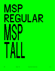## MSP Regular MSP Tall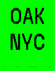

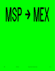# MSP -> MEX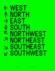#### ← West ↑ North → East ↓ SOUTH 下 NORTHWEST<br>ᅎ NOPTHE∆ST ↗ Northeast ↘ Southeast ↙ Southwest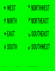#### ← West



↑ North

## → East

## ↗ Northeast

#### ↘ Southeast

↓ South

#### ↙ Southwest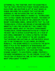Gathering all this together, what I'm suggesting is that we take a protective stance toward ourselves, each other, and whatever is left of what makes us human—including the alliances that sustain and surprise us. And I'm suggesting that we fiercely protect our human animality against all technologies that actively ignore and disdain the body, the bodies of other beings, and the body of the landscape that we inhabit. In becoming Animal, Abram writes that "all our technological utopias and dreams of machine-mediated immortality may fire our inds but they cannot feed our bodies. Indeed, most of this era's transcendent technological visions remain motivated by a fright of the body and its myriad susceptibilities, by a fear of our carnal embedment in a world ultimately beyond our control – by our terror of the very wildness that nourishes and sustains us. Certain people would like to use technology to live longer, or forever. Ironically, this desire perfectly illustrates the death drive at play in the "Manifesto of Maintenance Art" ("separation, individuality, Avant-Garde par excellence; to follow one's own path — do your own thing; dynamic change"). To such people I humbly propose a far more parsimonious way to live forever: to exit the trajectory of productive time, so that a single moment might open almost to infinity.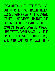Certain people would like to use technology to live longer, or forever. Ironically, this desire perfectly illustrates the death drive at play in the "Manifesto of Maintenance Art" ("separation, individuality, Avant-Garde par excellence; to follow one's own path do your own thing; dynamic change"). To such people I humbly propose a far more parsimonious way to live forever: to exit the trajectory of productive time, so that a single moment might open almost to infinity.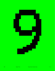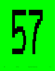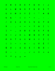| A.                                                                                                                                                                                                                                                                                                                                                                                                                                                                                                                                                                                                                                                                                   | B <sub>a</sub>                  | $\mathbf{C} = \mathbf{C}$                   | D <sub>a</sub>                                                                                                                        | E in                                                                                                                  | F.                        | $G = \Box$       | H <sub>ar</sub>                           | $\mathbf{I}$   | J                                                                                                                                          |
|--------------------------------------------------------------------------------------------------------------------------------------------------------------------------------------------------------------------------------------------------------------------------------------------------------------------------------------------------------------------------------------------------------------------------------------------------------------------------------------------------------------------------------------------------------------------------------------------------------------------------------------------------------------------------------------|---------------------------------|---------------------------------------------|---------------------------------------------------------------------------------------------------------------------------------------|-----------------------------------------------------------------------------------------------------------------------|---------------------------|------------------|-------------------------------------------|----------------|--------------------------------------------------------------------------------------------------------------------------------------------|
| K                                                                                                                                                                                                                                                                                                                                                                                                                                                                                                                                                                                                                                                                                    | L.                              | M                                           | N                                                                                                                                     | 0<                                                                                                                    | P.                        | $\alpha$ .       | $R_{\rm{min}}$                            | S              | $\mathbf{I} = \mathbf{T}$                                                                                                                  |
| U                                                                                                                                                                                                                                                                                                                                                                                                                                                                                                                                                                                                                                                                                    | $\mathsf V$                     | W                                           | $\mathsf{X}$<br><b>Contract Contract Contract Contract Contract Contract Contract Contract Contract Contract Contract Contract Co</b> | <b>EXAMPLE 19</b>                                                                                                     |                           | $Z = 1 - 1$      |                                           | $\#$           | $\boldsymbol{\$}$<br><b>Contract Contract Contract Contract Contract Contract Contract Contract Contract Contract Contract Contract Co</b> |
| $% \mathcal{B} \rightarrow \mathcal{B} \rightarrow \mathcal{B} \rightarrow \mathcal{B} \rightarrow \mathcal{B} \rightarrow \mathcal{B} \rightarrow \mathcal{B} \rightarrow \mathcal{B} \rightarrow \mathcal{B} \rightarrow \mathcal{B} \rightarrow \mathcal{B} \rightarrow \mathcal{B} \rightarrow \mathcal{B} \rightarrow \mathcal{B} \rightarrow \mathcal{B} \rightarrow \mathcal{B} \rightarrow \mathcal{B} \rightarrow \mathcal{B} \rightarrow \mathcal{B} \rightarrow \mathcal{B} \rightarrow \mathcal{B} \rightarrow \mathcal{B} \rightarrow \mathcal{B} \rightarrow \mathcal{B} \rightarrow \mathcal{B} \rightarrow \mathcal{B} \rightarrow \mathcal{B} \rightarrow \mathcal$ |                                 | $8 - 1$                                     | $\overline{\phantom{a}}$                                                                                                              | $\mathbf{D}$                                                                                                          | $*$                       | $\pm$ .          | <b>All Co</b>                             | $\blacksquare$ | $\sim 100$                                                                                                                                 |
| $\overline{\mathscr{S}}$                                                                                                                                                                                                                                                                                                                                                                                                                                                                                                                                                                                                                                                             | $\overline{0}$                  | $1 -$                                       | $2 \pm 1$                                                                                                                             | $3 -$                                                                                                                 | $4 -$                     | $5 -$            | $6 -$                                     | $\overline{7}$ | 8                                                                                                                                          |
| 9                                                                                                                                                                                                                                                                                                                                                                                                                                                                                                                                                                                                                                                                                    | $\sim 10$                       | $\mathcal{V}^{\text{max}}$                  | $\,<$                                                                                                                                 | $=$ $-$                                                                                                               | $>$ $\sim$                | 2 <sup>2</sup>   | @                                         | D              | $\mathbb{R}^n$                                                                                                                             |
| J                                                                                                                                                                                                                                                                                                                                                                                                                                                                                                                                                                                                                                                                                    | $\mathsf{A} \subset \mathbb{R}$ |                                             | $A =$                                                                                                                                 | B <sub>a</sub>                                                                                                        | $\mathbf{C} = \mathbf{C}$ | D.               | E,                                        | F              | G                                                                                                                                          |
| H                                                                                                                                                                                                                                                                                                                                                                                                                                                                                                                                                                                                                                                                                    | <b>J</b>                        | $J_{\rm{max}}$                              | K.                                                                                                                                    | L,                                                                                                                    | $M =$                     | $N =$            | $0 -$                                     | P.             | Q                                                                                                                                          |
| R.                                                                                                                                                                                                                                                                                                                                                                                                                                                                                                                                                                                                                                                                                   | S                               | T                                           | $\mathsf{U}=\mathsf{U}$                                                                                                               |                                                                                                                       | $V = W$                   | $X = \mathbb{R}$ | Y                                         | $\mathsf{Z}$   | ŧ                                                                                                                                          |
|                                                                                                                                                                                                                                                                                                                                                                                                                                                                                                                                                                                                                                                                                      |                                 |                                             |                                                                                                                                       |                                                                                                                       |                           |                  | $\hat{\mathsf{A}}$ and $\hat{\mathsf{A}}$ |                | É Í                                                                                                                                        |
| Ñ                                                                                                                                                                                                                                                                                                                                                                                                                                                                                                                                                                                                                                                                                    |                                 | $\mathfrak{0} \longrightarrow \mathfrak{0}$ |                                                                                                                                       | <b>Contract Contract Contract Contract Contract Contract Contract Contract Contract Contract Contract Contract Co</b> | $\acute{A}$ $\acute{E}$   | $\mathfrak{f}$ . | Ñ                                         | Ó              | ÷                                                                                                                                          |
| Ú                                                                                                                                                                                                                                                                                                                                                                                                                                                                                                                                                                                                                                                                                    |                                 |                                             | $\blacksquare$                                                                                                                        |                                                                                                                       | X                         | $\leftarrow$     | 个                                         | $\rightarrow$  | $\overline{\mathbf{V}}$                                                                                                                    |
| K,                                                                                                                                                                                                                                                                                                                                                                                                                                                                                                                                                                                                                                                                                   | $\mathbf{z}$                    | $\Delta t$                                  | Ø.                                                                                                                                    | $\infty$                                                                                                              |                           |                  |                                           |                |                                                                                                                                            |